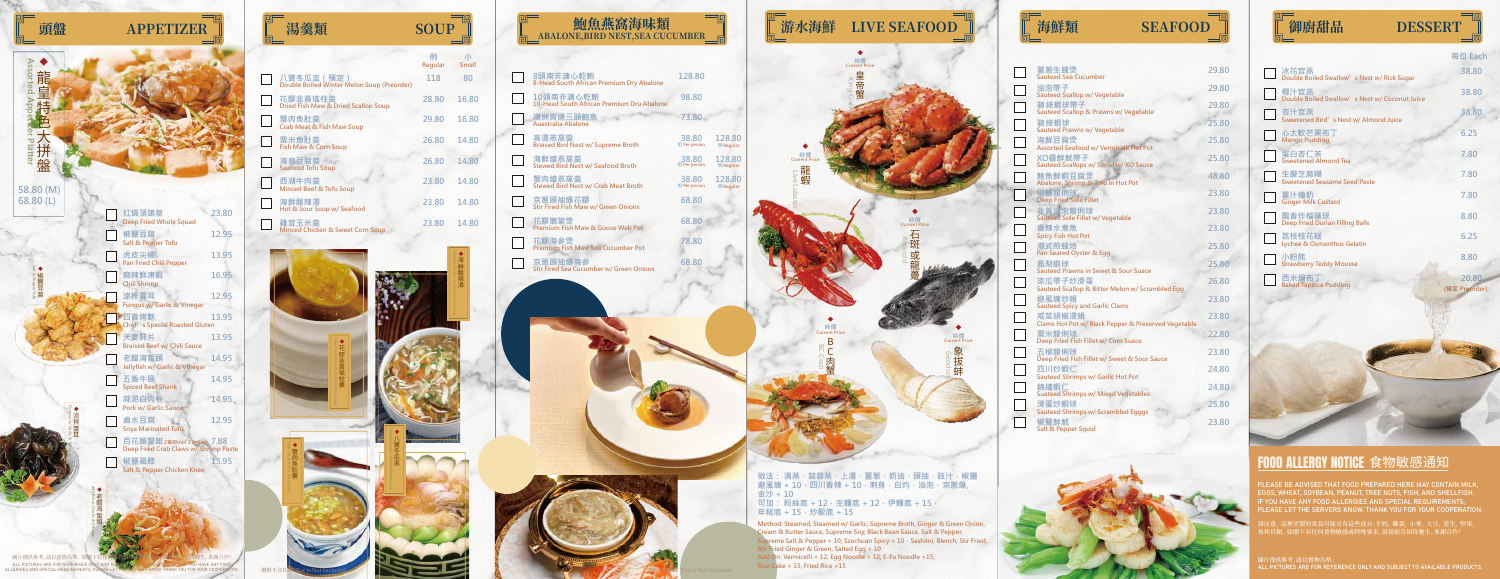| 湯羹類<br><b>SOUP</b> |  | 鮑魚燕窩海味類<br>E,BIRD NEST,SEA CUCUMBER<br>Ħ. |  | 游水海鮮<br><b>LIVE SEAFOOD</b> |  | 海鮮類 | <b>SEAFOOD</b> |  | 御廚甜品 | <b>DESSERT</b> |
|--------------------|--|-------------------------------------------|--|-----------------------------|--|-----|----------------|--|------|----------------|
|--------------------|--|-------------------------------------------|--|-----------------------------|--|-----|----------------|--|------|----------------|

| 笏菐賏                                                       | SUUP         |                   |
|-----------------------------------------------------------|--------------|-------------------|
|                                                           | 例<br>Regular | 小<br><b>Small</b> |
| 八寶冬瓜盅 (預定)<br>Double Boiled Winter Melon Soup (Preorder)  | 118          | 80                |
| 花膠韭黃瑤柱羹<br><b>Dried Fish Maw &amp; Dried Scallop Soup</b> | 28.80        | 16.80             |
| 蟹肉魚肚羹<br><b>Crab Meat &amp; Fish Maw Soup</b>             | 29.80        | 16.80             |
| 粟米魚肚羹<br>Fish Maw & Corn Soup                             | 26.80        | 14.80             |
| 海皇豆腐羹<br><b>Seafood Tofu Soup</b>                         | 26.80        | 14.80             |
| 西湖牛肉羹<br>Minced Beef & Tofu Soup                          | 23.80        | 14.80             |
| 海鮮酸辣湯<br>Hot & Sour Soup w/ Seafood                       | 23.80        | 14.80             |
| 雞茸玉米羹<br>Minced Chicken & Sweet Corn Soup                 | 23.80        | 14.80             |

**時價 Current P** 

蝦

**Live Lobster**

**128.80 128.80 128.80 128.80 128.80 128.80 128.80 128.80 128.80 1 In In In In In In In In In I M** Regular **128.80 98.80 73.80 38.80 128.80**

> **BC Crab** BC肉蟹

**時價 Current Price**

**King Crab**

**時價 Current Price**

| 8頭南非溏心乾鮑<br>8-Head South African Premium Dry Abalone      | 12             |
|-----------------------------------------------------------|----------------|
| 10頭南非溏心乾鮑<br>10-Head South African Premium Dru Abalone    | 9              |
| 澳洲青邊三頭鮑魚<br>Auastralia Abalone                            |                |
| 高湯燕窩羹<br><b>Braised Bird Nest w/ Supreme Broth</b>        | 3.<br>位 Po     |
| 海鮮燴燕窩羹<br><b>Stewed Bird Nest w/ Seafood Broth</b>        | 3,<br>位 Po     |
| 蟹肉燴燕窩羹<br><b>Stewed Bird Nest w/ Crab Meat Broth</b>      | 31<br>位 Po     |
| 京蔥頭抽爆花膠<br><b>Stir Fired Fish Maw w/ Green Onions</b>     | 6              |
| 花膠鵝掌煲<br><b>Premium Fish Maw &amp; Goose Web Pot</b>      | 6 <sub>1</sub> |
| 花膠海參煲<br><b>Premium Fish Maw Sea Cucumber Pot</b>         | 7              |
| 京蔥頭抽爆海參<br><b>Stir Fired Sea Cucumber w/ Green Onions</b> | $\overline{6}$ |

**Geoduck** <u>.</u>

**68.80 68.80 78.80**

**68.80**

**Method: Steamed, Steamed w/ Garlic, Supreme Broth, Ginger & Green Onion, Cream & Butter Sauce, Supreme Soy, Black Bean Sauce, Salt & Pepper, Supreme Salt & Pepper + 10, Szechuan Spicy + 10 · Sashimi, Blench, Stir Fried, Stir Fried Ginger & Green, Salted Egg + 10 Add On: Vermicelli + 12, Egg Noodle + 12, E-Fu Noodle +15, Rice Cake + 15, Fried Rice +15**

**做法: 清蒸,蒜蓉蒸,上湯,薑蔥,奶油,頭抽,豉汁,椒鹽 避風塘 + 10, 四川香辣 + 10, 刺身, 白灼, 油泡, 京蔥爆, 金沙 + 10** 可加: 粉絲底 + 12,生麵底 + 12,伊麵底 + 15, **年糕底 + 15,炒飯底 + 15**

> 請注意, 這裡烹製的食品可能含有這些成分:牛奶, 雞蛋, 小麥, 大豆, 花生, 堅果, 魚和貝類。 如閣下有仕何食物敏感或特殊要求, 請提前告知侍應生。多謝合作!

圖片僅供參考, 請以貫物為準。<br>ALL PICTURES ARE FOR REFERENCE ONLY AND SUBJECT TO AVAILABLE PRODUCTS.

|                                                       | 每位 Each                |
|-------------------------------------------------------|------------------------|
| 冰花官燕<br>Double Boiled Swallow's Nest w/ Rick Sugar    | 38.80                  |
| 椰汁官燕<br>Double Boiled Swallow's Nest w/ Coconut Juice | 38.80                  |
| 杏汁官燕<br>Sweetened Bird's Nest w/ Almond Juice         | 38.80                  |
| 心太軟芒果布丁<br><b>Mango Pudding</b>                       | 6.25                   |
| 蛋白杏仁茶<br><b>Sweetened Almond Tea</b>                  | 7.80                   |
| 生磨芝麻糊<br><b>Sweetened Seasame Seed Paste</b>          | 7.80                   |
| 薑汁撞奶<br><b>Ginger Milk Custard</b>                    | 7.80                   |
| 飄香炸榴蓮球<br><b>Deep Fried Durian Filling Balls</b>      | 8.80                   |
| 荔枝桂花糕<br><b>Lychee &amp; Osmanthus Gelatin</b>        | 6.25                   |
| 小粉熊<br><b>Strawberry Teddy Mousse</b>                 | 8.80                   |
| 西米焗布<br><b>Baked Tapioca Pudding</b>                  | 20.80<br>(預定 Preorder) |
|                                                       |                        |
|                                                       |                        |



## **FOOD ALLERGY NOTICE 食物敏感通知**

**時價 Current Price**

**Rockcod** 石斑或龍躉

**時價 Current Price**

花膠韭黃瑤柱羹





PLEASE BE ADVISED THAT FOOD PREPARED HERE MAY CONTAIN MILK, EGGS, WHEAT, SOYBEAN, PEANUT, TREE NUTS, FISH, AND SHELLFISH. IF YOU HAVE ANY FOOD ALLERGIES AND SPECIAL REQUIREMENTS, PLEASE LET THE SERVERS KNOW. THANK YOU FOR YOUR COOPERATION.



ALL PICTURES ARE FOR REFERENCE ONLY AND SUBJECT TO AVAIL (BLE PRODUCTS, IF YOU HAVE ANY FOOD<br>ALLERGIES AND SPECIAL REQUIREMENTS, PLEASE LET THE SERVERS KNOW. THANK YOU FOR YOUR COOPERATION.

| 薑蔥生蠔煲<br><b>Sauteed Sea Cucumber</b>                          | 29.80 |
|---------------------------------------------------------------|-------|
| 油泡帶子<br><b>Sauteed Scallop w/ Vegetable</b>                   | 29.80 |
| 碧綠蝦球帶子<br>Sauteed Scallop & Prawns w/ Vegetable               | 29.80 |
| 碧綠蝦球                                                          | 25.80 |
| <b>Sauteed Prawns w/ Vegetable</b><br>海鮮豆腐煲                   | 25.80 |
| Assorted Seafood w/ Vermicelli Hot Pot<br>XO醬鮮魷帶子             | 25.80 |
| Sauteed Scallops w/ Squid w/ XO Sauce<br>鮑魚鮮蝦豆腐煲              | 48.80 |
| Abalone, Shrimp & Tofu in Hot Pot<br>椒鹽龍俐球                    | 23.80 |
| <b>Deep Fried Sole Fillet</b><br>韭黃油泡龍俐球                      | 23.80 |
| Sauteed Sole Fillet w/ Vegetable<br>香辣水煮魚                     | 23.80 |
| <b>Spicy Fish Hot Pot</b><br>潮式煎蠔烙                            | 25.80 |
| Pan Seared Oyster & Egg<br>鳳梨蝦球                               | 25.80 |
| <b>Sauteed Prawns in Sweet &amp; Sour Suace</b>               |       |
| 涼瓜帶子炒滑蛋<br>Sauteed Scallop & Bitter Melon w/ Scrambled Egg    | 26.80 |
| 避風塘炒蜆<br><b>Sauteed Spicy and Garlic Clams</b>                | 23.80 |
| 咸菜胡椒浸蜆<br>Clams Hot Pot w/ Black Pepper & Preserved Vegetable | 23.80 |
| 粟米龍俐球<br>Deep Fried Fish Fillet w/ Corn Suace                 | 22.80 |
| 五柳龍俐球<br>Deep Fried Fish Fillet w/ Sweet & Sour Sauce         | 23.80 |
| 四川炒蝦仁<br><b>Sauteed Shrimps w/ Garlic Hot Pot</b>             | 24.80 |
| 錦繡蝦仁<br><b>Suateed Shrimps w/ Mixed Vegetables</b>            | 24.80 |
| 滑蛋炒蝦球<br><b>Sauteed Shrimps w/ Scrambled Egggs</b>            | 25.80 |
| 椒鹽鮮魷<br>Salt & Pepper Squid                                   | 23.80 |
|                                                               |       |



| 吓  |      |
|----|------|
|    | 御廚甜品 |
| īl |      |